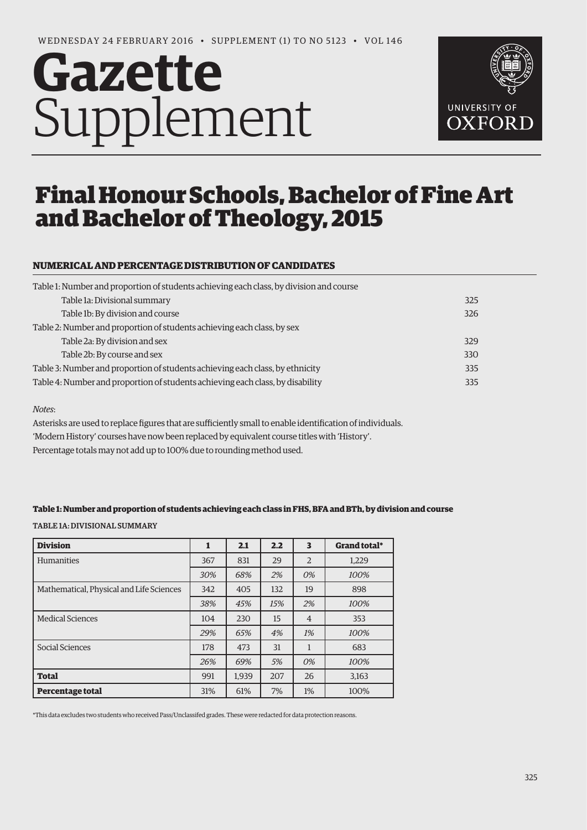# **Gazette** Supplement



# Final Honour Schools, Bachelor of Fine Art and Bachelor of Theology, 2015

# **NUMERICAL AND PERCENTAGE DISTRIBUTION OF CANDIDATES**

| Table 1: Number and proportion of students achieving each class, by division and course |     |
|-----------------------------------------------------------------------------------------|-----|
| Table 1a: Divisional summary                                                            | 325 |
| Table 1b: By division and course                                                        | 326 |
| Table 2: Number and proportion of students achieving each class, by sex                 |     |
| Table 2a: By division and sex                                                           | 329 |
| Table 2b: By course and sex                                                             | 330 |
| Table 3: Number and proportion of students achieving each class, by ethnicity           | 335 |
| Table 4: Number and proportion of students achieving each class, by disability          | 335 |

#### *Notes*:

Asterisks are used to replace figures that are sufficiently small to enable identification of individuals. 'Modern History' courses have now been replaced by equivalent course titles with 'History'. Percentage totals may not add up to 100% due to rounding method used.

#### **Table 1: Number and proportion of students achieving each class in FHS, BFA and BTh, by division and course**

TABLE 1A: DIVISIONAL SUMMARY

| <b>Division</b>                          | 1   | 2.1   | 2.2 | 3              | Grand total* |
|------------------------------------------|-----|-------|-----|----------------|--------------|
| <b>Humanities</b>                        | 367 | 831   | 29  | $\overline{2}$ | 1.229        |
|                                          | 30% | 68%   | 2%  | 0%             | 100%         |
| Mathematical, Physical and Life Sciences | 342 | 405   | 132 | 19             | 898          |
|                                          | 38% | 45%   | 15% | 2%             | 100%         |
| <b>Medical Sciences</b>                  | 104 | 230   | 15  | $\overline{4}$ | 353          |
|                                          | 29% | 65%   | 4%  | 1%             | 100%         |
| Social Sciences                          | 178 | 473   | 31  | 1              | 683          |
|                                          | 26% | 69%   | 5%  | 0%             | 100%         |
| <b>Total</b>                             | 991 | 1,939 | 207 | 26             | 3,163        |
| Percentage total                         | 31% | 61%   | 7%  | 1%             | 100%         |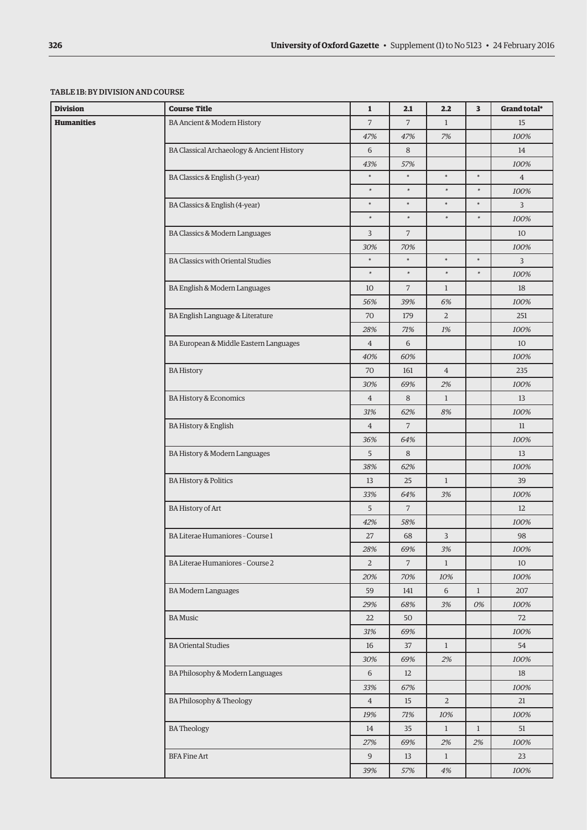### TABLE 1B: BY DIVISION AND COURSE

|                                                                                                                                                                                                                                                                                                                                                                                                                                                                                                                                                                                                               | <b>Course Title</b>                        | $\mathbf{1}$   | 2.1            | 2.2            | $\overline{\mathbf{3}}$ | Grand total*   |
|---------------------------------------------------------------------------------------------------------------------------------------------------------------------------------------------------------------------------------------------------------------------------------------------------------------------------------------------------------------------------------------------------------------------------------------------------------------------------------------------------------------------------------------------------------------------------------------------------------------|--------------------------------------------|----------------|----------------|----------------|-------------------------|----------------|
|                                                                                                                                                                                                                                                                                                                                                                                                                                                                                                                                                                                                               | BA Ancient & Modern History                | $\overline{7}$ | $\overline{7}$ | $\mathbf{1}$   |                         | 15             |
|                                                                                                                                                                                                                                                                                                                                                                                                                                                                                                                                                                                                               |                                            | 47%            | 47%            | 7%             |                         | 100%           |
|                                                                                                                                                                                                                                                                                                                                                                                                                                                                                                                                                                                                               | BA Classical Archaeology & Ancient History | 6              | 8              |                |                         | 14             |
|                                                                                                                                                                                                                                                                                                                                                                                                                                                                                                                                                                                                               |                                            | 43%            | 57%            |                |                         | 100%           |
|                                                                                                                                                                                                                                                                                                                                                                                                                                                                                                                                                                                                               | BA Classics & English (3-year)             | $\ast$         | $\ast$         | $\ast$         | $\ast$                  | $\overline{4}$ |
|                                                                                                                                                                                                                                                                                                                                                                                                                                                                                                                                                                                                               |                                            | $\ast$         | $\ast$         | $\ast$         | $\ast$                  | 100%           |
|                                                                                                                                                                                                                                                                                                                                                                                                                                                                                                                                                                                                               | BA Classics & English (4-year)             | $\ast$         | $\ast$         | $\ast$         | $\ast$                  | 3              |
|                                                                                                                                                                                                                                                                                                                                                                                                                                                                                                                                                                                                               |                                            | $\ast$         | $\ast$         | $\ast$         | $\ast$                  | 100%           |
|                                                                                                                                                                                                                                                                                                                                                                                                                                                                                                                                                                                                               | BA Classics & Modern Languages             | $\overline{3}$ | $\overline{7}$ |                |                         | 10             |
| <b>Division</b><br>Humanities<br><b>BA Classics with Oriental Studies</b><br>BA English & Modern Languages<br>BA English Language & Literature<br>BA European & Middle Eastern Languages<br><b>BA History</b><br><b>BA History &amp; Economics</b><br><b>BA History &amp; English</b><br>BA History & Modern Languages<br><b>BA History &amp; Politics</b><br><b>BA History of Art</b><br>BA Literae Humaniores - Course 1<br>BA Literae Humaniores - Course 2<br><b>BA Modern Languages</b><br><b>BA</b> Music<br><b>BA Oriental Studies</b><br>BA Philosophy & Modern Languages<br>BA Philosophy & Theology | 30%                                        | 70%            |                |                | 100%                    |                |
|                                                                                                                                                                                                                                                                                                                                                                                                                                                                                                                                                                                                               | $\ast$                                     | $\ast$         | $\ast$         | $\ast$         | $\overline{3}$          |                |
|                                                                                                                                                                                                                                                                                                                                                                                                                                                                                                                                                                                                               |                                            | $\ast$         | $\ast$         | $\ast$         | $\ast$                  | 100%           |
|                                                                                                                                                                                                                                                                                                                                                                                                                                                                                                                                                                                                               | 10                                         | $\overline{7}$ | $\mathbf{1}$   |                | 18                      |                |
|                                                                                                                                                                                                                                                                                                                                                                                                                                                                                                                                                                                                               | 56%                                        | 39%            | 6%             |                | 100%                    |                |
|                                                                                                                                                                                                                                                                                                                                                                                                                                                                                                                                                                                                               | 70                                         | 179            | $\overline{2}$ |                | 251                     |                |
|                                                                                                                                                                                                                                                                                                                                                                                                                                                                                                                                                                                                               |                                            | 28%            | 71%            | 1%             |                         | 100%           |
|                                                                                                                                                                                                                                                                                                                                                                                                                                                                                                                                                                                                               |                                            | $\overline{4}$ | $\sqrt{6}$     |                |                         | 10             |
|                                                                                                                                                                                                                                                                                                                                                                                                                                                                                                                                                                                                               |                                            | 40%            | 60%            |                |                         | 100%           |
|                                                                                                                                                                                                                                                                                                                                                                                                                                                                                                                                                                                                               |                                            | 70             | 161            | $\overline{4}$ |                         | 235            |
|                                                                                                                                                                                                                                                                                                                                                                                                                                                                                                                                                                                                               |                                            | 30%            | 69%            | 2%             |                         | 100%           |
|                                                                                                                                                                                                                                                                                                                                                                                                                                                                                                                                                                                                               |                                            | $\overline{4}$ | 8              | $\mathbf{1}$   |                         | 13             |
|                                                                                                                                                                                                                                                                                                                                                                                                                                                                                                                                                                                                               |                                            | 31%            | 62%            | 8%             |                         | 100%           |
|                                                                                                                                                                                                                                                                                                                                                                                                                                                                                                                                                                                                               |                                            | $\overline{4}$ | $\overline{7}$ |                |                         | 11             |
|                                                                                                                                                                                                                                                                                                                                                                                                                                                                                                                                                                                                               |                                            | 36%            | 64%            |                |                         | 100%           |
|                                                                                                                                                                                                                                                                                                                                                                                                                                                                                                                                                                                                               |                                            | 5              | 8              |                |                         | 13             |
|                                                                                                                                                                                                                                                                                                                                                                                                                                                                                                                                                                                                               |                                            | 38%            | 62%            |                |                         | 100%           |
|                                                                                                                                                                                                                                                                                                                                                                                                                                                                                                                                                                                                               |                                            | 13             | 25             | $\mathbf{1}$   |                         | 39             |
|                                                                                                                                                                                                                                                                                                                                                                                                                                                                                                                                                                                                               |                                            | 33%            | 64%            | 3%             |                         | 100%           |
|                                                                                                                                                                                                                                                                                                                                                                                                                                                                                                                                                                                                               |                                            | 5              | $\overline{7}$ |                |                         | 12             |
|                                                                                                                                                                                                                                                                                                                                                                                                                                                                                                                                                                                                               |                                            | 42%            | 58%            |                |                         | 100%           |
|                                                                                                                                                                                                                                                                                                                                                                                                                                                                                                                                                                                                               |                                            | 27             | 68             | 3              |                         | 98             |
|                                                                                                                                                                                                                                                                                                                                                                                                                                                                                                                                                                                                               |                                            | 28%            | 69%            | 3%             |                         | 100%           |
|                                                                                                                                                                                                                                                                                                                                                                                                                                                                                                                                                                                                               |                                            | $\overline{2}$ | 7 <sup>7</sup> | $\mathbf{1}$   |                         | 10             |
|                                                                                                                                                                                                                                                                                                                                                                                                                                                                                                                                                                                                               |                                            | 20%            | 70%            | 10%            |                         | 100%           |
|                                                                                                                                                                                                                                                                                                                                                                                                                                                                                                                                                                                                               |                                            | 59             | 141            | 6              | $\mathbf{1}$            | 207            |
|                                                                                                                                                                                                                                                                                                                                                                                                                                                                                                                                                                                                               |                                            | 29%            | 68%            | 3%             | 0%                      | 100%           |
|                                                                                                                                                                                                                                                                                                                                                                                                                                                                                                                                                                                                               |                                            | 22             | 50             |                |                         | 72             |
|                                                                                                                                                                                                                                                                                                                                                                                                                                                                                                                                                                                                               |                                            | 31%            | 69%            |                |                         | 100%           |
|                                                                                                                                                                                                                                                                                                                                                                                                                                                                                                                                                                                                               |                                            | 16             | 37             | $\mathbf{1}$   |                         | 54             |
|                                                                                                                                                                                                                                                                                                                                                                                                                                                                                                                                                                                                               |                                            | 30%            | 69%            | 2%             |                         | 100%           |
|                                                                                                                                                                                                                                                                                                                                                                                                                                                                                                                                                                                                               |                                            | 6              | 12             |                |                         | 18             |
|                                                                                                                                                                                                                                                                                                                                                                                                                                                                                                                                                                                                               |                                            | 33%            | 67%            |                |                         | 100%           |
|                                                                                                                                                                                                                                                                                                                                                                                                                                                                                                                                                                                                               |                                            | $\overline{4}$ | 15             | $\overline{2}$ |                         | 21             |
|                                                                                                                                                                                                                                                                                                                                                                                                                                                                                                                                                                                                               |                                            | 19%            | 71%            | 10%            |                         | 100%           |
|                                                                                                                                                                                                                                                                                                                                                                                                                                                                                                                                                                                                               | <b>BATheology</b>                          | 14             | 35             | $\mathbf{1}$   | $\mathbf{1}$            | 51             |
|                                                                                                                                                                                                                                                                                                                                                                                                                                                                                                                                                                                                               |                                            | 27%            | 69%            | 2%             | 2%                      | 100%           |
|                                                                                                                                                                                                                                                                                                                                                                                                                                                                                                                                                                                                               | <b>BFA Fine Art</b>                        | 9              | 13             | $\mathbf{1}$   |                         | 23             |
|                                                                                                                                                                                                                                                                                                                                                                                                                                                                                                                                                                                                               |                                            | 39%            | 57%            | 4%             |                         | 100%           |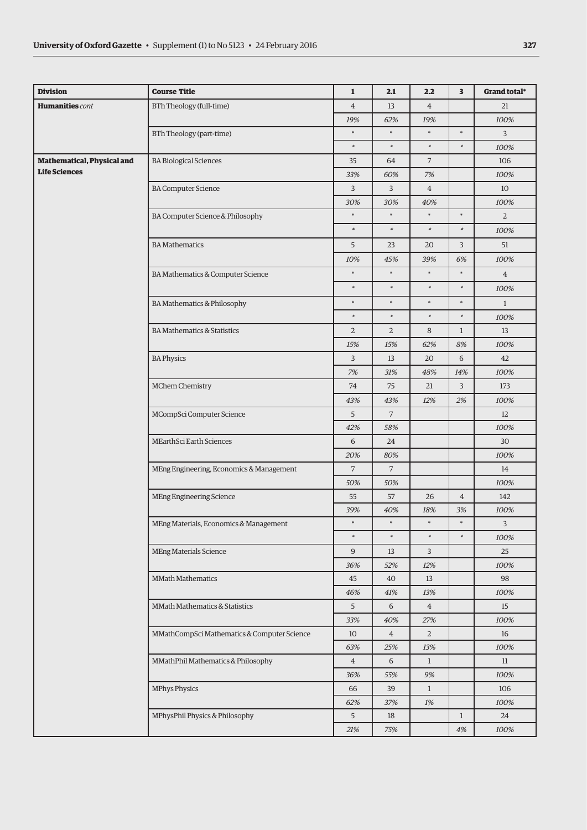| <b>Division</b>            | <b>Course Title</b>                         | $\mathbf 1$    | 2.1            | 2.2            | 3              | Grand total*   |
|----------------------------|---------------------------------------------|----------------|----------------|----------------|----------------|----------------|
| <b>Humanities</b> cont     | BTh Theology (full-time)                    | $\overline{4}$ | 13             | $\overline{4}$ |                | 21             |
|                            |                                             | 19%            | 62%            | 19%            |                | 100%           |
|                            | BTh Theology (part-time)                    | $\ast$         | $\ast$         | $\ast$         | $\ast$         | 3              |
|                            |                                             | $\ast$         | $\ast$         | $\ast$         | $\ast$         | 100%           |
| Mathematical, Physical and | <b>BA Biological Sciences</b>               | 35             | 64             | $\overline{7}$ |                | 106            |
| <b>Life Sciences</b>       |                                             | 33%            | 60%            | 7%             |                | 100%           |
|                            | <b>BA Computer Science</b>                  | 3              | 3              | $\overline{4}$ |                | 10             |
|                            |                                             | 30%            | 30%            | 40%            |                | 100%           |
|                            | BA Computer Science & Philosophy            | $\ast$         | $\ast$         | $\ast$         | $\ast$         | $\overline{2}$ |
|                            |                                             | $\ast$         | $\ast$         | $\ast$         | $\ast$         | 100%           |
|                            | <b>BA</b> Mathematics                       | 5              | 23             | 20             | 3              | 51             |
|                            |                                             | 10%            | 45%            | 39%            | 6%             | 100%           |
|                            | BA Mathematics & Computer Science           | $\ast$         | $\ast$         | $\ast$         | $\ast$         | $\overline{4}$ |
|                            |                                             | $\ast$         | $\ast$         | $\ast$         | $\ast$         | 100%           |
|                            | BA Mathematics & Philosophy                 | $\ast$         | $\ast$         | $\ast$         | $\ast$         | $\mathbf{1}$   |
|                            |                                             | $\ast$         | $\ast$         | $\ast$         | $\ast$         | 100%           |
|                            | <b>BA Mathematics &amp; Statistics</b>      | $\overline{2}$ | $\overline{2}$ | 8              | $\mathbf{1}$   | 13             |
|                            |                                             | 15%            | 15%            | 62%            | 8%             | 100%           |
|                            | <b>BA Physics</b>                           | 3              | 13             | 20             | 6              | 42             |
|                            |                                             | 7%             | 31%            | 48%            | 14%            | 100%           |
|                            | MChem Chemistry                             | 74             | 75             | 21             | 3              | 173            |
|                            |                                             | 43%            | 43%            | 12%            | 2%             | 100%           |
|                            | MCompSci Computer Science                   | 5              | $\overline{7}$ |                |                | 12             |
|                            |                                             | 42%            | 58%            |                |                | 100%           |
|                            | MEarthSci Earth Sciences                    | 6              | 24             |                |                | 30             |
|                            |                                             | 20%            | 80%            |                |                | 100%           |
|                            | MEng Engineering, Economics & Management    | $\overline{7}$ | $\overline{7}$ |                |                | 14             |
|                            |                                             | 50%            | 50%            |                |                | 100%           |
|                            | MEng Engineering Science                    | 55             | 57             | 26             | $\overline{4}$ | 142            |
|                            |                                             | 39%<br>$\ast$  | 40%<br>$\ast$  | 18%<br>$\ast$  | 3%<br>$\ast$   | 100%           |
|                            | MEng Materials, Economics & Management      | $\ast$         | $\ast$         | $\ast$         | $\ast$         | $\overline{3}$ |
|                            | <b>MEng Materials Science</b>               | 9              | 13             | $\overline{3}$ |                | 100%<br>25     |
|                            |                                             |                |                | 12%            |                | 100%           |
|                            | <b>MMath Mathematics</b>                    | 36%<br>45      | 52%<br>40      | 13             |                | 98             |
|                            |                                             | $46\%$         | $41\%$         | 13%            |                | 100%           |
|                            | MMath Mathematics & Statistics              | 5              | $\sqrt{6}$     | $\overline{4}$ |                | 15             |
|                            |                                             | 33%            | 40%            | 27%            |                | 100%           |
|                            | MMathCompSci Mathematics & Computer Science | 10             | $\overline{4}$ | $\overline{2}$ |                | 16             |
|                            |                                             | 63%            | $25\%$         | 13%            |                | 100%           |
|                            | MMathPhil Mathematics & Philosophy          | $\overline{4}$ | $\sqrt{6}$     | $\mathbf{1}$   |                | $11\,$         |
|                            |                                             | 36%            | 55%            | 9%             |                | 100%           |
|                            | <b>MPhys Physics</b>                        | 66             | 39             | $\mathbf{1}$   |                | 106            |
|                            |                                             | 62%            | 37%            | 1%             |                | 100%           |
|                            | MPhysPhil Physics & Philosophy              | 5              | 18             |                | $\mathbf{1}$   | 24             |
|                            |                                             | 21%            | 75%            |                | $4\%$          | 100%           |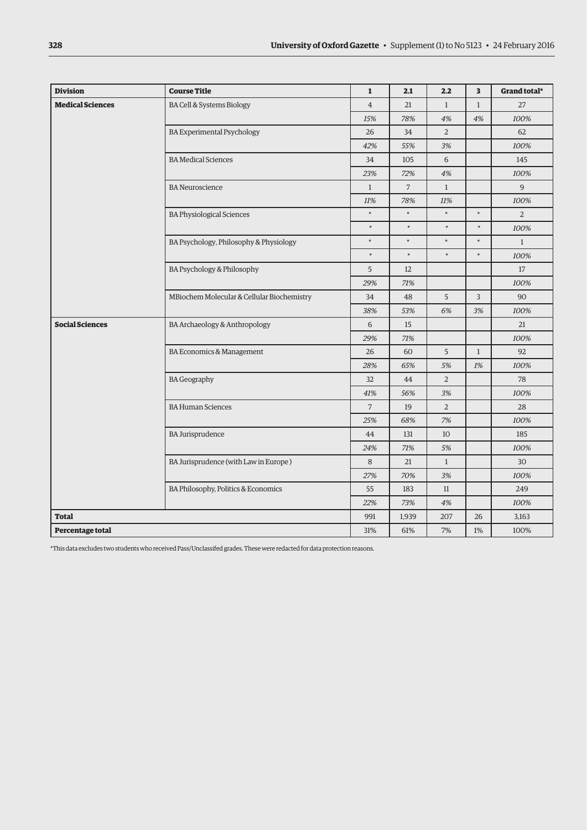| <b>Division</b>         | <b>Course Title</b>                                                                                                                                                                                                                                                                                                                                                                                                                        | $\mathbf{1}$   | 2.1            | 2.2            | $\overline{\mathbf{3}}$ | Grand total*   |
|-------------------------|--------------------------------------------------------------------------------------------------------------------------------------------------------------------------------------------------------------------------------------------------------------------------------------------------------------------------------------------------------------------------------------------------------------------------------------------|----------------|----------------|----------------|-------------------------|----------------|
| <b>Medical Sciences</b> | BA Cell & Systems Biology                                                                                                                                                                                                                                                                                                                                                                                                                  | $\overline{4}$ | 21             | $\mathbf{1}$   | $\mathbf{1}$            | 27             |
|                         |                                                                                                                                                                                                                                                                                                                                                                                                                                            | 15%            | 78%            | 4%             | 4%                      | 100%           |
|                         | <b>BA Experimental Psychology</b>                                                                                                                                                                                                                                                                                                                                                                                                          | 26             | 34             | $\overline{2}$ |                         | 62             |
|                         |                                                                                                                                                                                                                                                                                                                                                                                                                                            | 42%            | 55%            | 3%             |                         | 100%           |
|                         | <b>BA</b> Medical Sciences<br><b>BA</b> Neuroscience<br><b>BA Physiological Sciences</b><br>BA Psychology, Philosophy & Physiology<br>BA Psychology & Philosophy<br>MBiochem Molecular & Cellular Biochemistry<br>BA Archaeology & Anthropology<br>BA Economics & Management<br><b>BA Geography</b><br><b>BA Human Sciences</b><br><b>BA Jurisprudence</b><br>BA Jurisprudence (with Law in Europe)<br>BA Philosophy, Politics & Economics |                | 105            | 6              |                         | 145            |
|                         |                                                                                                                                                                                                                                                                                                                                                                                                                                            | 23%            | 72%            | 4%             |                         | 100%           |
|                         |                                                                                                                                                                                                                                                                                                                                                                                                                                            | $\mathbf{1}$   | $\overline{7}$ | $\mathbf{1}$   |                         | $\overline{9}$ |
|                         |                                                                                                                                                                                                                                                                                                                                                                                                                                            | 11%            | 78%            | 11%            |                         | 100%           |
|                         |                                                                                                                                                                                                                                                                                                                                                                                                                                            | $\ast$         | $\ast$         | $\star$        | $\ast$                  | $\overline{2}$ |
|                         |                                                                                                                                                                                                                                                                                                                                                                                                                                            | $\ast$         | $\ast$         | $\ast$         | $\ast$                  | 100%           |
|                         | $\ast$                                                                                                                                                                                                                                                                                                                                                                                                                                     | $\ast$         | $\ast$         | $\ast$         | $\mathbf{1}$            |                |
|                         |                                                                                                                                                                                                                                                                                                                                                                                                                                            | $\ast$         | $\ast$         | $\ast$         | $\ast$                  | 100%           |
|                         |                                                                                                                                                                                                                                                                                                                                                                                                                                            | 5              | 12             |                |                         | 17             |
|                         |                                                                                                                                                                                                                                                                                                                                                                                                                                            | 29%            | 71%            |                |                         | 100%           |
|                         |                                                                                                                                                                                                                                                                                                                                                                                                                                            | 34             | 48             | 5              | $\overline{3}$          | 90             |
|                         |                                                                                                                                                                                                                                                                                                                                                                                                                                            | 38%            | 53%            | 6%             | 3%                      | 100%           |
| <b>Social Sciences</b>  |                                                                                                                                                                                                                                                                                                                                                                                                                                            | 6              | 15             |                |                         | 21             |
|                         |                                                                                                                                                                                                                                                                                                                                                                                                                                            | 29%            | 71%            |                |                         | 100%           |
|                         |                                                                                                                                                                                                                                                                                                                                                                                                                                            | 26             | 60             | 5              | $1\,$                   | 92             |
|                         |                                                                                                                                                                                                                                                                                                                                                                                                                                            | 28%            | 65%            | 5%             | 1%                      | 100%           |
|                         |                                                                                                                                                                                                                                                                                                                                                                                                                                            | 32             | 44             | $\overline{2}$ |                         | 78             |
|                         |                                                                                                                                                                                                                                                                                                                                                                                                                                            | 41%            | 56%            | 3%             |                         | 100%           |
|                         |                                                                                                                                                                                                                                                                                                                                                                                                                                            | $\overline{7}$ | 19             | $\overline{2}$ |                         | 28             |
|                         |                                                                                                                                                                                                                                                                                                                                                                                                                                            | 25%            | 68%            | 7%             |                         | 100%           |
|                         |                                                                                                                                                                                                                                                                                                                                                                                                                                            | 44             | 131            | 10             |                         | 185            |
|                         |                                                                                                                                                                                                                                                                                                                                                                                                                                            | 24%            | 71%            | 5%             |                         | 100%           |
|                         |                                                                                                                                                                                                                                                                                                                                                                                                                                            | 8              | 21             | $\mathbf{1}$   |                         | 30             |
|                         |                                                                                                                                                                                                                                                                                                                                                                                                                                            | 27%            | 70%            | 3%             |                         | 100%           |
|                         |                                                                                                                                                                                                                                                                                                                                                                                                                                            | 55             | 183            | 11             |                         | 249            |
|                         |                                                                                                                                                                                                                                                                                                                                                                                                                                            | 22%            | 73%            | 4%             |                         | 100%           |
| <b>Total</b>            |                                                                                                                                                                                                                                                                                                                                                                                                                                            | 991            | 1,939          | 207            | 26                      | 3,163          |
| Percentage total        |                                                                                                                                                                                                                                                                                                                                                                                                                                            | 31%            | 61%            | 7%             | 1%                      | 100%           |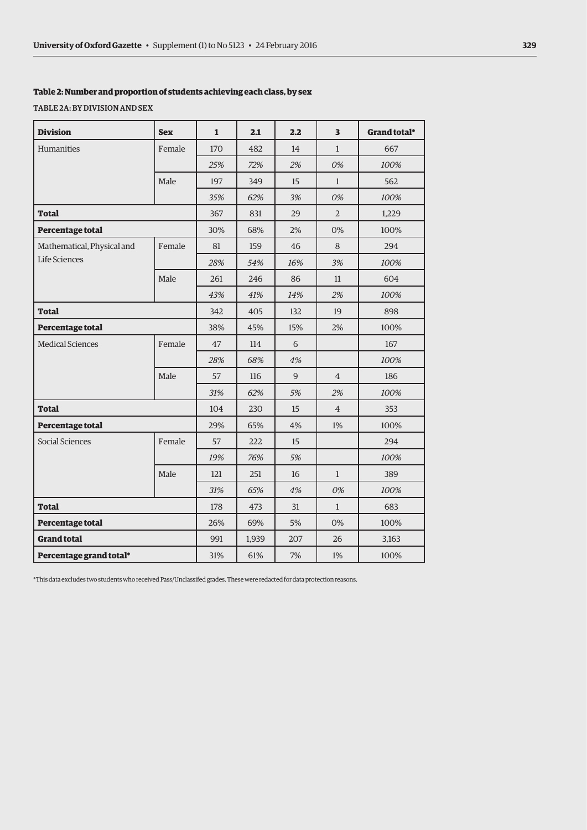## **Table 2: Number and proportion of students achieving each class, by sex**

TABLE 2A: BY DIVISION AND SEX

| <b>Division</b>            | <b>Sex</b> | $\mathbf{1}$ | 2.1   | 2.2 | $\overline{\mathbf{3}}$ | Grand total* |
|----------------------------|------------|--------------|-------|-----|-------------------------|--------------|
| Humanities                 | Female     | 170          | 482   | 14  | $\mathbf{1}$            | 667          |
|                            |            | 25%          | 72%   | 2%  | 0%                      | 100%         |
|                            | Male       | 197          | 349   | 15  | $\mathbf{1}$            | 562          |
|                            |            | 35%          | 62%   | 3%  | 0%                      | 100%         |
| <b>Total</b>               |            | 367          | 831   | 29  | $\overline{2}$          | 1,229        |
| Percentage total           |            | 30%          | 68%   | 2%  | 0%                      | 100%         |
| Mathematical, Physical and | Female     | 81           | 159   | 46  | 8                       | 294          |
| Life Sciences              |            | 28%          | 54%   | 16% | 3%                      | 100%         |
|                            | Male       | 261          | 246   | 86  | 11                      | 604          |
|                            |            | 43%          | 41%   | 14% | 2%                      | 100%         |
| <b>Total</b>               |            | 342          | 405   | 132 | 19                      | 898          |
| Percentage total           |            | 38%          | 45%   | 15% | 2%                      | 100%         |
| <b>Medical Sciences</b>    | Female     | 47           | 114   | 6   |                         | 167          |
|                            |            | 28%          | 68%   | 4%  |                         | 100%         |
|                            | Male       | 57           | 116   | 9   | $\overline{4}$          | 186          |
|                            |            | 31%          | 62%   | 5%  | 2%                      | 100%         |
| <b>Total</b>               |            | 104          | 230   | 15  | $\overline{4}$          | 353          |
| Percentage total           |            | 29%          | 65%   | 4%  | 1%                      | 100%         |
| Social Sciences            | Female     | 57           | 222   | 15  |                         | 294          |
|                            |            | 19%          | 76%   | 5%  |                         | 100%         |
|                            | Male       | 121          | 251   | 16  | $\mathbf{1}$            | 389          |
|                            |            | 31%          | 65%   | 4%  | 0%                      | 100%         |
| <b>Total</b>               |            | 178          | 473   | 31  | $\mathbf{1}$            | 683          |
| Percentage total           |            | 26%          | 69%   | 5%  | 0%                      | 100%         |
| <b>Grand total</b>         |            | 991          | 1,939 | 207 | 26                      | 3,163        |
| Percentage grand total*    |            | 31%          | 61%   | 7%  | 1%                      | 100%         |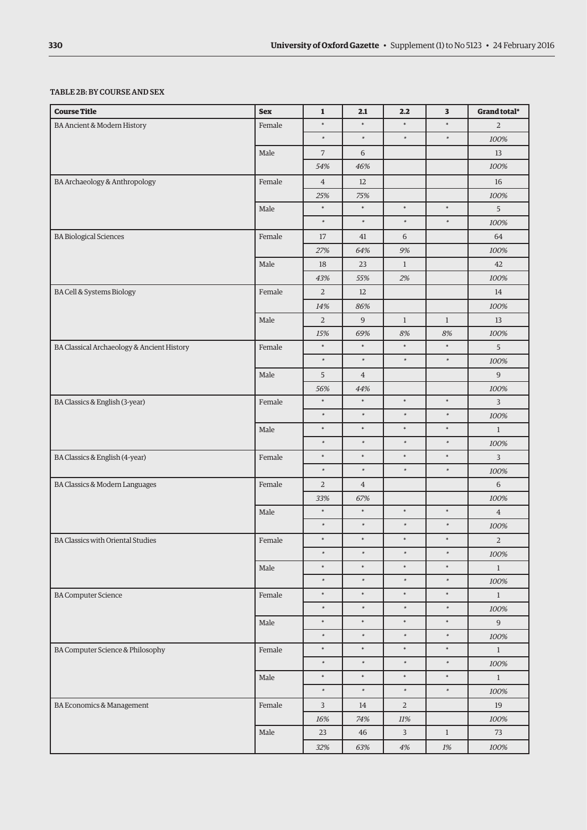# TABLE 2B: BY COURSE AND SEX

| <b>Course Title</b>                        | <b>Sex</b> | $\mathbf 1$    | 2.1            | 2.2                     | 3            | Grand total*   |
|--------------------------------------------|------------|----------------|----------------|-------------------------|--------------|----------------|
| BA Ancient & Modern History                | Female     | $\ast$         | $\ast$         | $\ast$                  | $\ast$       | $\overline{2}$ |
|                                            |            | $\ast$         | $\ast$         | $\ast$                  | $\ast$       | 100%           |
|                                            | Male       | $\overline{7}$ | 6              |                         |              | $13\,$         |
|                                            |            | 54%            | 46%            |                         |              | 100%           |
| BA Archaeology & Anthropology              | Female     | $\overline{4}$ | 12             |                         |              | 16             |
|                                            |            | 25%            | 75%            |                         |              | 100%           |
|                                            | Male       | $\ast$         | $\ast$         | $\ast$                  | $\ast$       | 5              |
|                                            |            | $\ast$         | $\ast$         | $\ast$                  | $\ast$       | 100%           |
| <b>BA Biological Sciences</b>              | Female     | 17             | $41\,$         | 6                       |              | 64             |
|                                            |            | 27%            | 64%            | 9%                      |              | 100%           |
|                                            | Male       | 18             | 23             | $\mathbf{1}$            |              | 42             |
|                                            |            | 43%            | 55%            | 2%                      |              | 100%           |
| BA Cell & Systems Biology                  | Female     | $\overline{2}$ | 12             |                         |              | 14             |
|                                            |            | 14%            | 86%            |                         |              | 100%           |
|                                            | Male       | $\overline{2}$ | $\overline{9}$ | $\mathbf{1}$            | $\mathbf{1}$ | 13             |
|                                            |            | 15%            | 69%            | 8%                      | $8\%$        | 100%           |
| BA Classical Archaeology & Ancient History | Female     | $\ast$         | $\ast$         | $\ast$                  | $\ast$       | 5              |
|                                            |            | $\ast$         | $\ast$         | $\ast$                  | $\ast$       | 100%           |
|                                            | Male       | 5              | $\overline{4}$ |                         |              | $\overline{9}$ |
|                                            |            | 56%            | 44%            |                         |              | 100%           |
| BA Classics & English (3-year)             | Female     | $\ast$         | $\ast$         | $\ast$                  | $\ast$       | $\overline{3}$ |
|                                            |            | $\ast$         | $\ast$         | $\ast$                  | $\ast$       | 100%           |
|                                            | Male       | $\ast$         | $\ast$         | $\ast$                  | $\ast$       | $\mathbf{1}$   |
|                                            |            | $\ast$         | $\ast$         | $\ast$                  | $\ast$       | 100%           |
| BA Classics & English (4-year)             | Female     | $\ast$         | $\ast$         | $\ast$                  | $\ast$       | 3              |
|                                            |            | $\ast$         | $\ast$         | $\ast$                  | $\ast$       | 100%           |
| BA Classics & Modern Languages             | Female     | $\overline{2}$ | $\overline{4}$ |                         |              | $\sqrt{6}$     |
|                                            |            | 33%            | 67%            |                         |              | 100%           |
|                                            | Male       | $\ast$         | $\ast$         | $\ast$                  | $\ast$       | $\overline{4}$ |
|                                            |            | $\ast$         | $\ast$         | $\ast$                  | $\ast$       | $100\%$        |
| <b>BA Classics with Oriental Studies</b>   | Female     | $\ast$         | $\ast$         | $\ast$                  | $\ast$       | $\overline{2}$ |
|                                            |            | $\ast$         | $\ast$         | $\ast$                  | $\ast$       | 100%           |
|                                            | Male       | $\ast$         | $\ast$         | $\ast$                  | $\ast$       | $\mathbf{1}$   |
|                                            |            | $\ast$         | $\ast$         | $\ast$                  | $\ast$       | 100%           |
| <b>BA Computer Science</b>                 | Female     | $\ast$         | $\ast$         | $\ast$                  | $\ast$       | $\mathbf{1}$   |
|                                            |            | $\ast$         | $\ast$         | $\ast$                  | $\ast$       | 100%           |
|                                            | Male       | $\ast$         | $\ast$         | $\ast$                  | $\ast$       | $\overline{9}$ |
|                                            |            | $\ast$         | $\ast$         | $\ast$                  | $\ast$       | 100%           |
| BA Computer Science & Philosophy           | Female     | $\ast$         | $\ast$         | $\ast$                  | $\ast$       | $\mathbf{1}$   |
|                                            |            | $\ast$         | $\ast$         | $\ast$                  | $\ast$       | 100%           |
|                                            | Male       | $\ast$         | $\ast$         | $\ast$                  | $\ast$       | $\mathbf{1}$   |
|                                            |            | $\ast$         | $\ast$         | $\ast$                  | $\ast$       | 100%           |
| BA Economics & Management                  | Female     | $\overline{3}$ | 14             | $\overline{2}$          |              | 19             |
|                                            |            | $16\%$         | $74\%$         | $11\%$                  |              | $100\%$        |
|                                            | Male       | 23             | 46             | $\overline{\mathbf{3}}$ | $\mathbf{1}$ | 73             |
|                                            |            | 32%            | 63%            | $4\%$                   | $1\%$        | 100%           |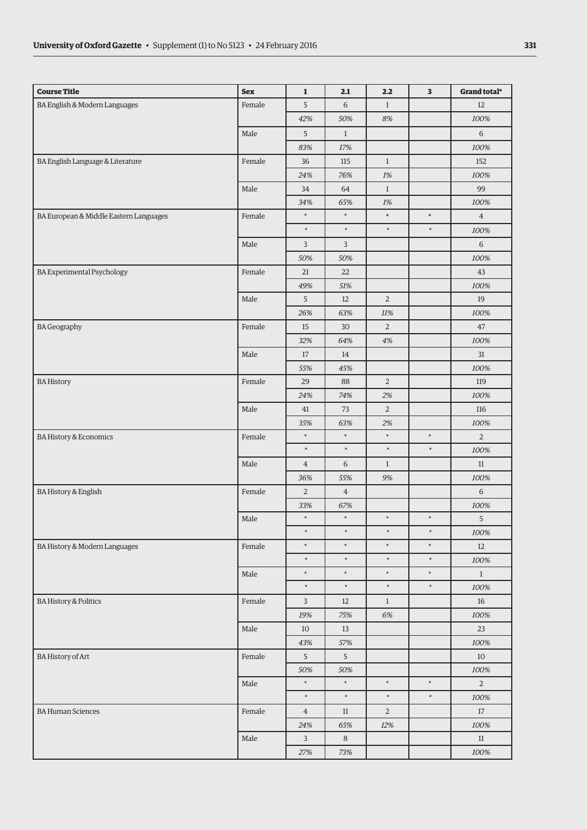| <b>Course Title</b>                    | <b>Sex</b> | $\mathbf 1$    | 2.1            | 2.2            | 3      | Grand total*   |
|----------------------------------------|------------|----------------|----------------|----------------|--------|----------------|
| BA English & Modern Languages          | Female     | 5              | $6\,$          | $\mathbf{1}$   |        | 12             |
|                                        |            | 42%            | 50%            | 8%             |        | 100%           |
|                                        | Male       | 5              | $\mathbf{1}$   |                |        | $\,$ 6 $\,$    |
|                                        |            | 83%            | 17%            |                |        | 100%           |
| BA English Language & Literature       | Female     | 36             | 115            | $\mathbf{1}$   |        | 152            |
|                                        |            | 24%            | 76%            | 1%             |        | 100%           |
|                                        | Male       | 34             | 64             | $\mathbf{1}$   |        | 99             |
|                                        |            | 34%            | 65%            | 1%             |        | 100%           |
| BA European & Middle Eastern Languages | Female     | $\ast$         | $\ast$         | $\ast$         | $\ast$ | $\overline{4}$ |
|                                        |            | $\ast$         | $\ast$         | $\ast$         | $\ast$ | 100%           |
|                                        | Male       | 3              | 3              |                |        | 6              |
|                                        |            | 50%            | 50%            |                |        | 100%           |
| <b>BA Experimental Psychology</b>      | Female     | 21             | 22             |                |        | 43             |
|                                        |            | 49%            | 51%            |                |        | 100%           |
|                                        | Male       | 5              | 12             | $\sqrt{2}$     |        | 19             |
|                                        |            | 26%            | 63%            | 11%            |        | 100%           |
| <b>BA</b> Geography                    | Female     | 15             | 30             | $\overline{2}$ |        | 47             |
|                                        |            | 32%            | 64%            | $4\%$          |        | 100%           |
|                                        | Male       | 17             | 14             |                |        | 31             |
|                                        |            | 55%            | 45%            |                |        | 100%           |
| <b>BA History</b>                      | Female     | 29             | 88             | $\overline{2}$ |        | 119            |
|                                        |            | 24%            | 74%            | 2%             |        | 100%           |
|                                        | Male       | 41             | 73             | $\overline{2}$ |        | 116            |
|                                        |            | 35%            | 63%            | 2%             |        | 100%           |
| <b>BA History &amp; Economics</b>      | Female     | $\ast$         | $\ast$         | $\ast$         | $\ast$ | $\overline{2}$ |
|                                        |            | $\ast$         | $\ast$         | $\ast$         | $\ast$ | 100%           |
|                                        | Male       | $\overline{4}$ | 6              | $\mathbf{1}$   |        | 11             |
|                                        |            | 36%            | 55%            | 9%             |        | 100%           |
| <b>BA History &amp; English</b>        | Female     | $\overline{2}$ | $\overline{4}$ |                |        | $\,$ 6 $\,$    |
|                                        | Male       | 33%<br>$\ast$  | 67%<br>$\ast$  | $\ast$         | $\ast$ | 100%<br>5      |
|                                        |            | $\ast$         | $\ast$         | $\ast$         | $\ast$ | 100%           |
| BA History & Modern Languages          | Female     | $\ast$         | $\ast$         | $\ast$         | $\ast$ | 12             |
|                                        |            | $\ast$         | $\ast$         | $\ast$         | $\ast$ | 100%           |
|                                        | Male       | $\ast$         | $\ast$         | $\ast$         | $\ast$ | $\mathbf{1}$   |
|                                        |            | $\ast$         | $\ast$         | $\ast$         | $\ast$ | 100%           |
| <b>BA History &amp; Politics</b>       | Female     | $\mathbf{3}$   | $12\,$         | $\mathbf{1}$   |        | $16\,$         |
|                                        |            | 19%            | 75%            | 6%             |        | 100%           |
|                                        | Male       | 10             | 13             |                |        | 23             |
|                                        |            | 43%            | 57%            |                |        | 100%           |
| <b>BA History of Art</b>               | Female     | 5              | 5              |                |        | 10             |
|                                        |            | 50%            | 50%            |                |        | 100%           |
|                                        | Male       | $\ast$         | $\ast$         | $\ast$         | $\ast$ | $\overline{a}$ |
|                                        |            | $\ast$         | $\ast$         | $\ast$         | $\ast$ | 100%           |
| <b>BA Human Sciences</b>               | Female     | $\overline{4}$ | $11\,$         | $\sqrt{2}$     |        | 17             |
|                                        |            | 24%            | 65%            | 12%            |        | 100%           |
|                                        | Male       | $\mathbf{3}$   | $\,8\,$        |                |        | 11             |
|                                        |            | 27%            | 73%            |                |        | 100%           |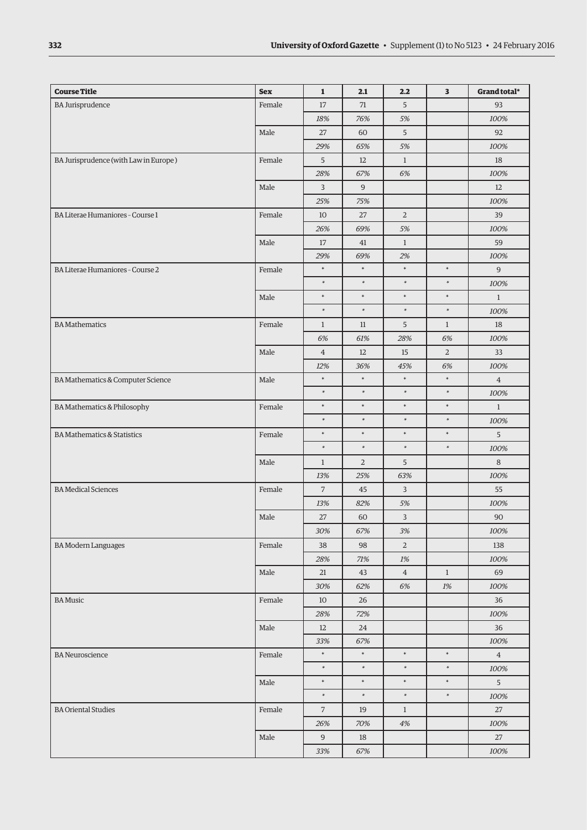| <b>Course Title</b>                    | <b>Sex</b> | $\mathbf{1}$   | 2.1            | 2.2            | 3              | Grand total*   |
|----------------------------------------|------------|----------------|----------------|----------------|----------------|----------------|
| <b>BA Jurisprudence</b>                | Female     | 17             | 71             | 5              |                | 93             |
|                                        |            | 18%            | 76%            | 5%             |                | 100%           |
|                                        | Male       | 27             | 60             | 5              |                | 92             |
|                                        |            | 29%            | 65%            | 5%             |                | 100%           |
| BA Jurisprudence (with Law in Europe)  | Female     | 5              | 12             | $\mathbf{1}$   |                | 18             |
|                                        |            | 28%            | 67%            | $6\%$          |                | 100%           |
|                                        | Male       | 3              | $\overline{9}$ |                |                | 12             |
|                                        |            | 25%            | 75%            |                |                | 100%           |
| BA Literae Humaniores - Course 1       | Female     | 10             | 27             | $\overline{2}$ |                | 39             |
|                                        |            | 26%            | 69%            | 5%             |                | 100%           |
|                                        | Male       | 17             | 41             | $\mathbf{1}$   |                | 59             |
|                                        |            | 29%            | 69%            | 2%             |                | 100%           |
| BA Literae Humaniores - Course 2       | Female     | $\ast$         | $\ast$         | $\ast$         | $\ast$         | 9              |
|                                        |            | $\ast$         | $\ast$         | $\ast$         | $\ast$         | 100%           |
|                                        | Male       | $\ast$         | $\ast$         | $\ast$         | $\ast$         | $\mathbf{1}$   |
|                                        |            | $\ast$         | $\ast$         | $\ast$         | $\ast$         | 100%           |
| <b>BA</b> Mathematics                  | Female     | $\mathbf{1}$   | 11             | 5              | $\mathbf{1}$   | 18             |
|                                        |            | 6%             | 61%            | 28%            | 6%             | 100%           |
|                                        | Male       | $\overline{4}$ | 12             | 15             | $\overline{2}$ | 33             |
|                                        |            | 12%            | 36%            | 45%            | 6%             | 100%           |
| BA Mathematics & Computer Science      | Male       | $\ast$         | $\ast$         | $\ast$         | $\ast$         | $\overline{4}$ |
|                                        |            | $\ast$         | $\ast$         | $\ast$         | $\ast$         | 100%           |
| BA Mathematics & Philosophy            | Female     | $\ast$         | $\ast$         | $\ast$         | $\ast$         | $\mathbf{1}$   |
|                                        |            | $\ast$         | $\ast$         | $\ast$         | $\ast$         | 100%           |
| <b>BA Mathematics &amp; Statistics</b> | Female     | $\ast$         | $\ast$         | $\ast$         | $\ast$         | 5              |
|                                        |            | $\ast$         | $\ast$         | $\ast$         | $\ast$         | 100%           |
|                                        | Male       | $\mathbf{1}$   | $\sqrt{2}$     | 5              |                | 8              |
|                                        |            | 13%            | 25%            | 63%            |                | 100%           |
| <b>BA Medical Sciences</b>             | Female     | $\overline{7}$ | 45             | 3              |                | 55             |
|                                        |            | 13%            | 82%            | 5%             |                | 100%           |
|                                        | Male       | 27             | 60             | $\overline{3}$ |                | 90             |
|                                        |            | 30%            | 67%            | $3\%$          |                | $100\%$        |
| <b>BA Modern Languages</b>             | Female     | 38             | 98             | $\sqrt{2}$     |                | 138            |
|                                        |            | 28%            | 71%            | $1\%$          |                | 100%           |
|                                        | Male       | 21             | 43             | $\overline{4}$ | $\mathbf{1}$   | 69             |
|                                        |            | 30%            | 62%            | 6%             | 1%             | 100%           |
| <b>BA</b> Music                        | Female     | 10             | 26             |                |                | 36             |
|                                        |            | 28%            | 72%            |                |                | 100%           |
|                                        | Male       | 12             | 24             |                |                | 36             |
|                                        |            | 33%            | 67%            |                |                | 100%           |
| <b>BA</b> Neuroscience                 | Female     | $\ast$         | $\ast$         | $\ast$         | $\ast$         | $\overline{4}$ |
|                                        |            | $\ast$         | $\ast$         | $\ast$         | $\ast$         | 100%           |
|                                        | Male       | $\ast$         | $\ast$         | $\ast$         | $\ast$         | 5              |
|                                        |            | $\ast$         | $\ast$         | $\ast$         | $\ast$         | 100%           |
| <b>BA Oriental Studies</b>             | Female     | $\sqrt{ }$     | 19             | $\mathbf{1}$   |                | 27             |
|                                        |            | 26%            | 70%            | $4\%$          |                | 100%           |
|                                        | Male       | $9$            | 18             |                |                | 27             |
|                                        |            | 33%            | 67%            |                |                | 100%           |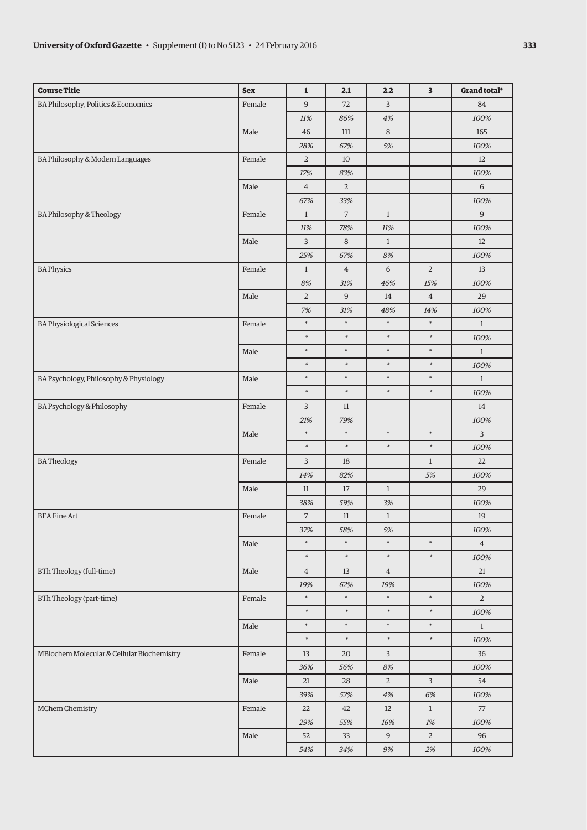| <b>Course Title</b>                        | <b>Sex</b> | $\mathbf 1$    | 2.1            | 2.2            | 3              | Grand total*   |
|--------------------------------------------|------------|----------------|----------------|----------------|----------------|----------------|
| BA Philosophy, Politics & Economics        | Female     | 9              | 72             | $\overline{3}$ |                | 84             |
|                                            |            | 11%            | 86%            | 4%             |                | 100%           |
|                                            | Male       | 46             | 111            | $\,8\,$        |                | 165            |
|                                            |            | 28%            | 67%            | 5%             |                | 100%           |
| BA Philosophy & Modern Languages           | Female     | $\overline{2}$ | 10             |                |                | 12             |
|                                            |            | 17%            | 83%            |                |                | 100%           |
|                                            | Male       | $\overline{4}$ | $\overline{2}$ |                |                | 6              |
|                                            |            | 67%            | 33%            |                |                | 100%           |
| BA Philosophy & Theology                   | Female     | $\mathbf{1}$   | $\overline{7}$ | $\mathbf{1}$   |                | 9              |
|                                            |            | 11%            | 78%            | 11%            |                | 100%           |
|                                            | Male       | $\overline{3}$ | 8              | $\mathbf{1}$   |                | 12             |
|                                            |            | 25%            | 67%            | 8%             |                | 100%           |
| <b>BA Physics</b>                          | Female     | $\mathbf{1}$   | $\overline{4}$ | $\,$ 6 $\,$    | $\overline{2}$ | 13             |
|                                            |            | 8%             | 31%            | 46%            | 15%            | 100%           |
|                                            | Male       | $\overline{2}$ | 9              | 14             | $\overline{4}$ | 29             |
|                                            |            | 7%             | 31%            | 48%            | 14%            | 100%           |
| <b>BA Physiological Sciences</b>           | Female     | $\ast$         | $\ast$         | $\ast$         | $\ast$         | $\mathbf{1}$   |
|                                            |            | $\ast$         | $\ast$         | $\ast$         | $\ast$         | $100\%$        |
|                                            | Male       | $\ast$         | $\ast$         | $\ast$         | $\ast$         | $\mathbf{1}$   |
|                                            |            | $\ast$         | $\ast$         | $\ast$         | $\ast$         | 100%           |
| BA Psychology, Philosophy & Physiology     | Male       | $\ast$         | $\ast$         | $\ast$         | $\ast$         | $\mathbf{1}$   |
|                                            |            | $\ast$         | $\ast$         | $\ast$         | $\ast$         | 100%           |
| BA Psychology & Philosophy                 | Female     | 3              | 11             |                |                | 14             |
|                                            |            | 21%            | 79%            |                |                | 100%           |
|                                            | Male       | $\ast$         | $\ast$         | $\ast$         | $\ast$         | 3              |
|                                            |            | $\ast$         | $\ast$         | $\ast$         | $\ast$         | 100%           |
| <b>BATheology</b>                          | Female     | 3              | 18             |                | $\mathbf{1}$   | 22             |
|                                            |            | 14%            | 82%            |                | 5%             | 100%           |
|                                            | Male       | 11             | 17             | $\mathbf{1}$   |                | 29             |
|                                            |            | 38%            | 59%            | 3%             |                | 100%           |
| <b>BFA Fine Art</b>                        | Female     | $\overline{7}$ | 11             | $\mathbf{1}$   |                | 19             |
|                                            |            | 37%            | 58%            | 5%             |                | 100%           |
|                                            | Male       | $\ast$         | $\ast$         | $\ast$         | $\ast$         | $\overline{4}$ |
|                                            |            | $\ast$         | $\ast$         | $\ast$         | $\ast$         | 100%           |
| BTh Theology (full-time)                   | Male       | $\overline{4}$ | 13             | $\overline{4}$ |                | 21             |
|                                            |            | 19%            | 62%            | 19%            |                | 100%           |
| BTh Theology (part-time)                   | Female     | $\ast$         | $\ast$         | $\ast$         | $\ast$         | $\overline{2}$ |
|                                            |            | $\ast$         | $\ast$         | $\ast$         | $\ast$         | 100%           |
|                                            | Male       | $\ast$         | $\ast$         | $\ast$         | $\ast$         | $\mathbf{1}$   |
|                                            |            | $\ast$         | $\ast$         | $\ast$         | $\ast$         | 100%           |
| MBiochem Molecular & Cellular Biochemistry | Female     | 13             | 20             | 3              |                | 36             |
|                                            |            | 36%            | 56%            | 8%             |                | 100%           |
|                                            | Male       | 21             | 28             | $\mathbf{2}$   | 3              | 54             |
|                                            |            | 39%            | 52%            | $4\%$          | 6%             | 100%           |
| MChem Chemistry                            | Female     | 22             | 42             | 12             | $\mathbf{1}$   | 77             |
|                                            |            | 29%            | 55%            | $16\%$         | $1\%$          | 100%           |
|                                            | Male       | 52             | 33             | $9\,$          | $\overline{2}$ | 96             |
|                                            |            | 54%            | 34%            | 9%             | 2%             | 100%           |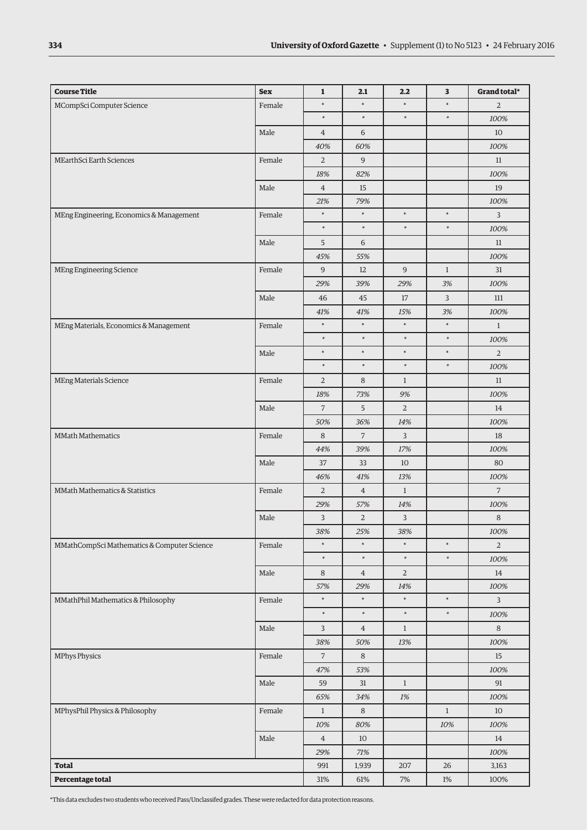| <b>Course Title</b>                         | <b>Sex</b> | $\mathbf 1$    | 2.1            | 2.2            | 3            | Grand total*   |
|---------------------------------------------|------------|----------------|----------------|----------------|--------------|----------------|
| MCompSci Computer Science                   | Female     | $\ast$         | $\ast$         | $\ast$         | $\ast$       | $\overline{2}$ |
|                                             |            | $\ast$         | $\ast$         | $\ast$         | $\ast$       | 100%           |
|                                             | Male       | $\overline{4}$ | 6              |                |              | 10             |
|                                             |            | 40%            | 60%            |                |              | 100%           |
| MEarthSci Earth Sciences                    | Female     | $\overline{2}$ | 9              |                |              | 11             |
|                                             |            | 18%            | 82%            |                |              | 100%           |
|                                             | Male       | $\overline{4}$ | 15             |                |              | 19             |
|                                             |            | 21%            | 79%            |                |              | 100%           |
| MEng Engineering, Economics & Management    | Female     | $\ast$         | $\ast$         | $\ast$         | $\ast$       | 3              |
|                                             |            | $\ast$         | $\ast$         | $\ast$         | $\ast$       | 100%           |
|                                             | Male       | 5              | 6              |                |              | 11             |
|                                             |            | 45%            | 55%            |                |              | 100%           |
| <b>MEng Engineering Science</b>             | Female     | 9              | 12             | $\overline{9}$ | $\mathbf{1}$ | 31             |
|                                             |            | 29%            | 39%            | 29%            | 3%           | 100%           |
|                                             | Male       | 46             | 45             | $17\,$         | 3            | $111$          |
|                                             |            | 41%            | 41%            | 15%            | 3%           | 100%           |
| MEng Materials, Economics & Management      | Female     | $\ast$         | $\ast$         | $\ast$         | $\ast$       | $\mathbf{1}$   |
|                                             |            | $\ast$         | $\ast$         | $\ast$         | $\ast$       | 100%           |
|                                             | Male       | $\ast$         | $\ast$         | $\ast$         | $\ast$       | $\overline{2}$ |
|                                             |            | $\ast$         | $\ast$         | $\ast$         | $\ast$       | 100%           |
| MEng Materials Science                      | Female     | $\overline{2}$ | $\,8\,$        | $\mathbf{1}$   |              | 11             |
|                                             |            | 18%            | 73%            | 9%             |              | 100%           |
|                                             | Male       | $\overline{7}$ | 5              | $\overline{2}$ |              | 14             |
|                                             |            | 50%            | 36%            | 14%            |              | 100%           |
| <b>MMath Mathematics</b>                    | Female     | $\,8\,$        | $\overline{7}$ | $\overline{3}$ |              | 18             |
|                                             |            | 44%            | 39%            | 17%            |              | 100%           |
|                                             | Male       | 37             | 33             | 10             |              | 80             |
|                                             |            | 46%            | 41%            | 13%            |              | 100%           |
| MMath Mathematics & Statistics              | Female     | $\overline{2}$ | $\overline{4}$ | $\mathbf{1}$   |              | $\overline{7}$ |
|                                             |            | 29%            | 57%            | 14%            |              | 100%           |
|                                             | Male       | 3              | $\overline{2}$ | $\overline{3}$ |              | $\,8\,$        |
|                                             |            | 38%            | 25%            | 38%            |              | 100%           |
| MMathCompSci Mathematics & Computer Science | Female     | $\ast$         |                | $\ast$         | $\ast$       | $\overline{2}$ |
|                                             |            | $\ast$         | $\ast$         | $\ast$         | $\ast$       | 100%           |
|                                             | Male       | 8              | $\overline{4}$ | $\overline{2}$ |              | 14             |
|                                             |            | 57%            | 29%            | 14%            |              | 100%           |
| MMathPhil Mathematics & Philosophy          | Female     | $\ast$         | $\ast$         | $\ast$         | $\ast$       | $\overline{3}$ |
|                                             |            | $\ast$         | $\ast$         | $\ast$         | $\ast$       | 100%           |
|                                             | Male       | 3              | $\overline{4}$ | $\mathbf{1}$   |              | $\,8\,$        |
|                                             |            | 38%            | 50%            | 13%            |              | 100%           |
| <b>MPhys Physics</b>                        | Female     | $\overline{7}$ | 8              |                |              | 15             |
|                                             |            | 47%            | 53%            |                |              | 100%           |
|                                             | Male       | 59             | $31\,$         | $1\,$          |              | 91             |
|                                             |            | 65%            | 34%            | 1%             |              | 100%           |
| MPhysPhil Physics & Philosophy              | Female     | $\mathbf{1}$   | 8              |                | $\mathbf{1}$ | 10             |
|                                             |            | 10%            | 80%            |                | 10%          | 100%           |
|                                             | Male       | $\overline{4}$ | 10             |                |              | 14             |
|                                             |            | 29%            | $71\%$         |                |              | 100%           |
| <b>Total</b>                                |            | 991            | 1,939          | 207            | 26           | 3,163          |
| Percentage total                            |            | 31%            | 61%            | $7\%$          | $1\%$        | 100%           |